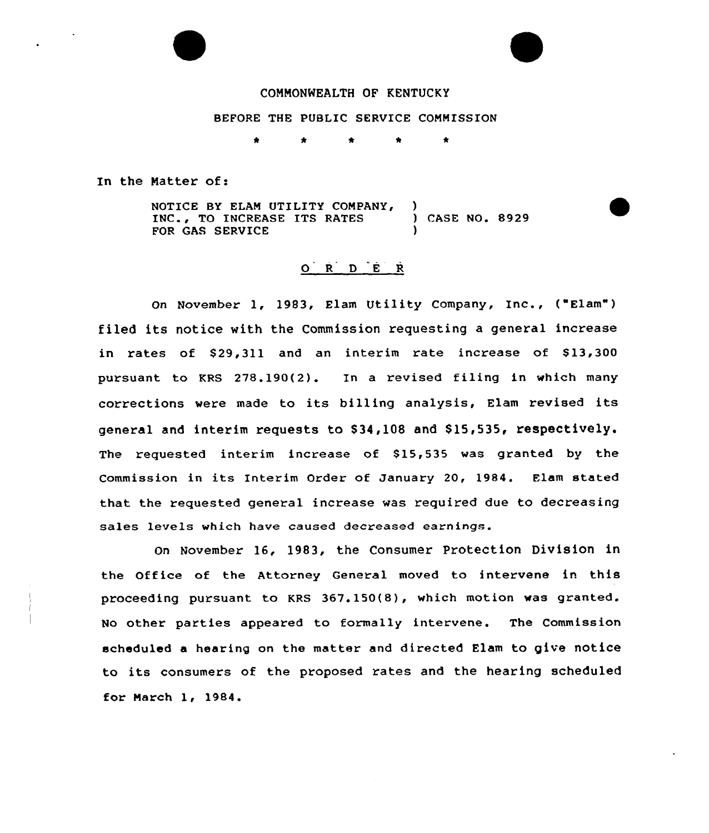

# COMMONWEALTH OF KENTUCKY

BEFORE THE PUBLIC SERVICE COMMISSION

 $\bullet$ 

In the Natter of:

NOTICE BY ELAN UTILITY COMPANY, INC., TO INCREASE ITS RATES FOR GAS SERVICE ) ) CASE NO. 8929 )

# O R D E R

On November 1, 1983, Elam Utility Company, Inc., ("Elam") filed its notice with the Commission requesting a general increase in rates of \$29,311 and an interim rate increase of \$13,300 pursuant to KRS 278.190(2). In a revised filing in which many corrections were made to its billing analysis, Elam revised its general and interim requests to \$34,108 and \$15,535, respectively. The requested interim increase of \$15,535 was granted by the Commission in its Interim Order of January 20, 1984. Elam stated that the requested general increase was required due to decreasing sales levels which have caused decreased earnings.

On November 16, 1983, the Consumer Protection Division in the Office of the Attorney General moved to intervene in this proceeding pursuant to KRS 367.150(8), which motion was granted. No other parties appeared to formally intervene. The Commission scheduled a hearing on the matter and directed Elam to give notice to its consumers of the proposed rates and the hearing scheduled for March 1, 1984.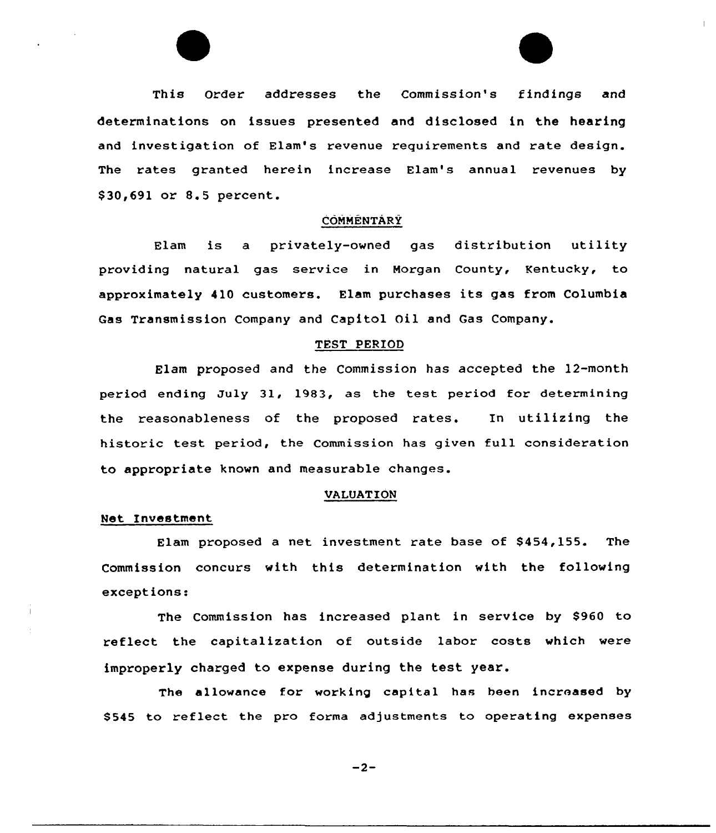

#### **COMMENTARY**

Elam is a privately-owned gas distribution utility providing natural gas service in Morgan County, Kentucky, to approximately 410 customers. Elam purchases its gas from Columbia Gas Transmission Company and Capitol Oil and Gas Company.

#### TEST PERIOD

Elam proposed and the Commission has accepted the 12-month period ending July 31, 1983, as the test period for determining the reasonableness of the proposed rates. In utilizing the historic test period, the Commission has given full consideration to appropriate known and measurable changes.

#### VALUATION

#### Net Investment

Elam proposed a net investment rate base of \$454,155. The Commission concurs with this determination with the following exceptions:

The Commission has increased plant in service by \$960 to reflect the capitalization of outside labor costs which were improperly charged to expense during the test year.

The allowance for working capital has been increased by \$545 to reflect the pro forma adjustments to operating expenses

 $-2-$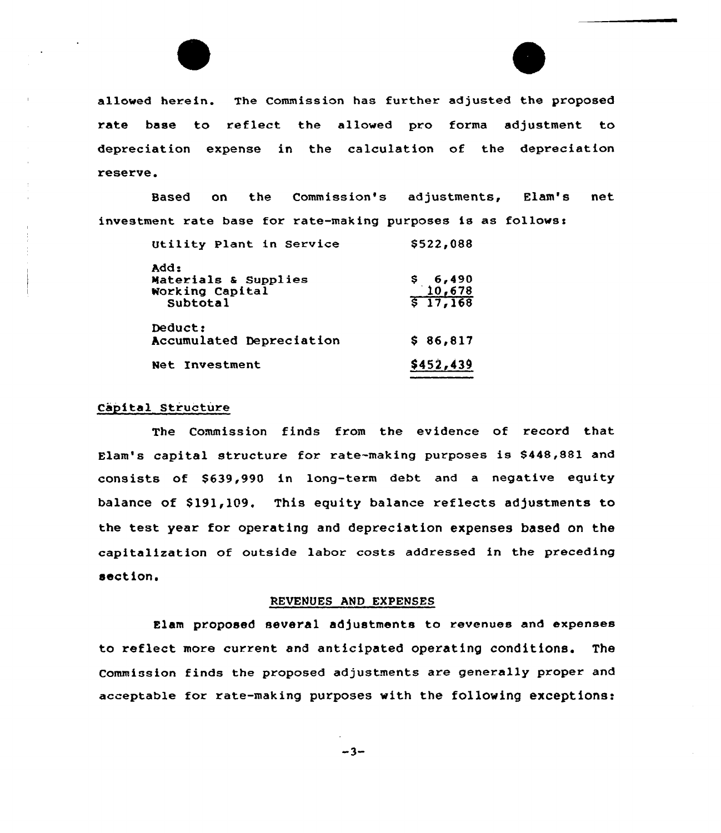

allowed herein. The Commission has further adjusted the proposed rate base to reflect the allowed pro forma adjustment to depxeciation expense in the calculation of the depreciation reserve.

Based on the Commission's adjustments, Elam's net investment rate base for rate-making purposes is as follows:

| Utility Plant in Service                                    | \$522,088                                        |
|-------------------------------------------------------------|--------------------------------------------------|
| add:<br>Materials & Supplies<br>Working Capital<br>Subtotal | $\frac{5}{6}$ , 490<br>$\frac{10,678}{5,17,168}$ |
| Deduct:<br>Accumulated Depreciation                         | \$86,817                                         |
| <b>Net Investment</b>                                       | \$452,439                                        |

## Capital Structure

The Commission finds from the evidence of record that Elam's capital structure for rate-making purposes is S448,881 and consists of \$639,990 in long-term debt and a negative equity balance of \$191,109. This equity balance reflects adjustments to the test year for operating and depreciation expenses based on the capitalization of outside labor costs addressed in the preceding section.

#### REUEHUES AND EXPENSES

Elam proposed several adjustments to revenues and expenses to reflect more current and anticipated operating conditions. The Commission finds the proposed adjustments are generally proper and acceptable for rate-making purposes with the following exceptions:

 $-3-$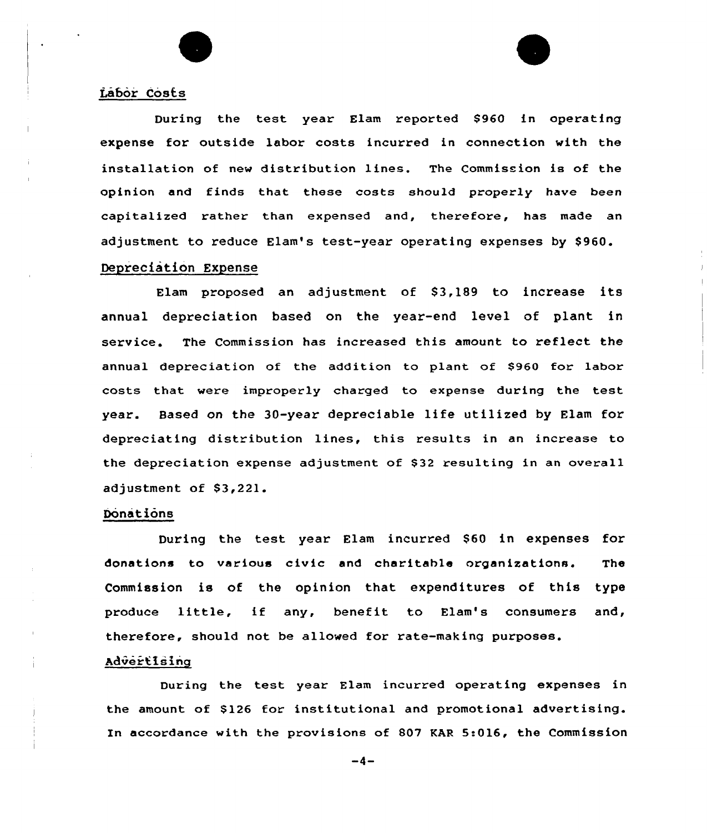## Labor Costs

During the test year Elam reported \$960 in operating expense for outside labor costs incurred in connection with the installation of new distribution lines. The Commission is of the opinion and finds that these costs should properly have been capitalized rather than expensed and, therefore, has made an adjustment to reduce Elam's test-year operating expenses by \$960.

# Depreciation Expense

Elam proposed an adjustment of \$3,189 to increase its annual depreciation based on the year-end level of plant in service. The Commission has increased this amount to reflect the annual depreciation of the addition to plant of \$960 for labor costs that were improperly charged to expense during the test year. Based on the 30-year depreciable life utilized by Elam for depreciating distribution lines, this results in an increase to the depreciation expense adjustment of \$32 resulting in an overall adjustment of \$3,221.

### Donations

During the test year Elam incurred \$60 in expenses for donations to various civic and charitable organizations. The Commission is of the opinion that expenditures of this type produce little, if any, benefit to Elam's consumers and, therefore, should not be allowed for rate-making purposes.

## Advertising

During the test year Elam incurred operating expenses in the amount of \$126 for institutional and promotional advertising. In accordance with the provisions of 807 KAR 5:016, the Commission

 $-4-$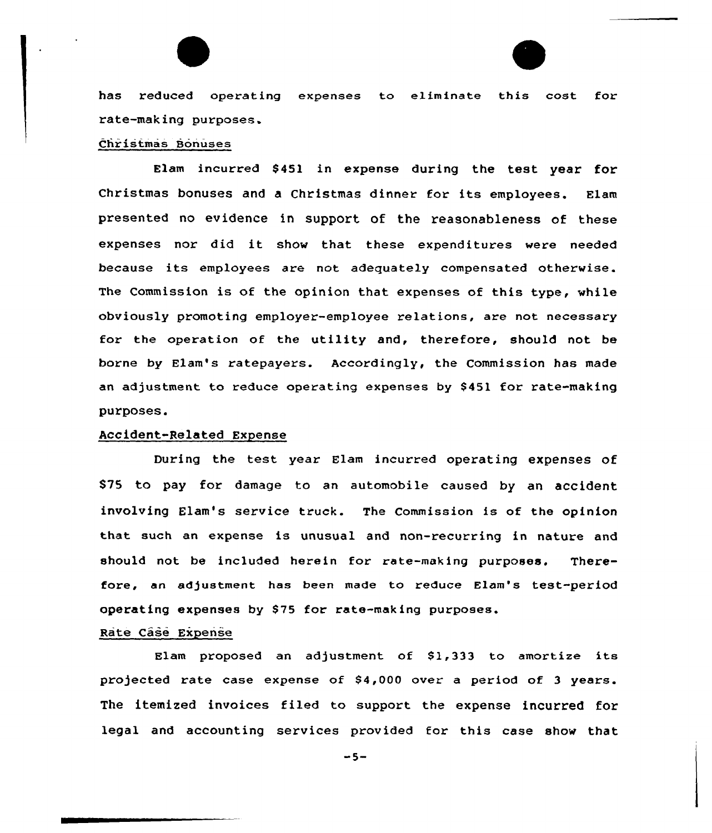has reduced operating expenses to eliminate this cost for rate-making purposes.

### Christmas Bonuses

Elam incurred \$451 in expense during the test year for Christmas bonuses and <sup>a</sup> Christmas dinner for its employees. Elam presented no evidence in support of the reasonableness of these expenses nor did it show that these expenditures were needed because its employees are not adequately compensated otherwise. The Commission is of the opinion that expenses of this type, while obviously promoting employer-employee relations, are not necessary for the operation of the utility and, therefore, should not be borne by Elam's ratepayers. Accordingly, the Commission has made an adjustment to reduce operating expenses by 8451 for rate-making purposes.

## Accident-Related Expense

During the test year Elam incurred operating expenses of S75 to pay for damage to an automobile caused by an accident involving Blam's service truck. The Commission is of the opinion that such an expense is unusual and non-recurring in nature and should not be included herein for rate-making purposes. Therefore, an adjustment has been made to reduce Elam's test-period operating expenses by S75 for rate-making purposes.

## Rate Case Expense

Elam proposed an adjustment of  $$1,333$  to amortize its projected rate case expense of \$4,000 over a period of 3 years. The itemized invoices filed to support the expense incurred for legal and accounting services provided for this case show that

 $-5-$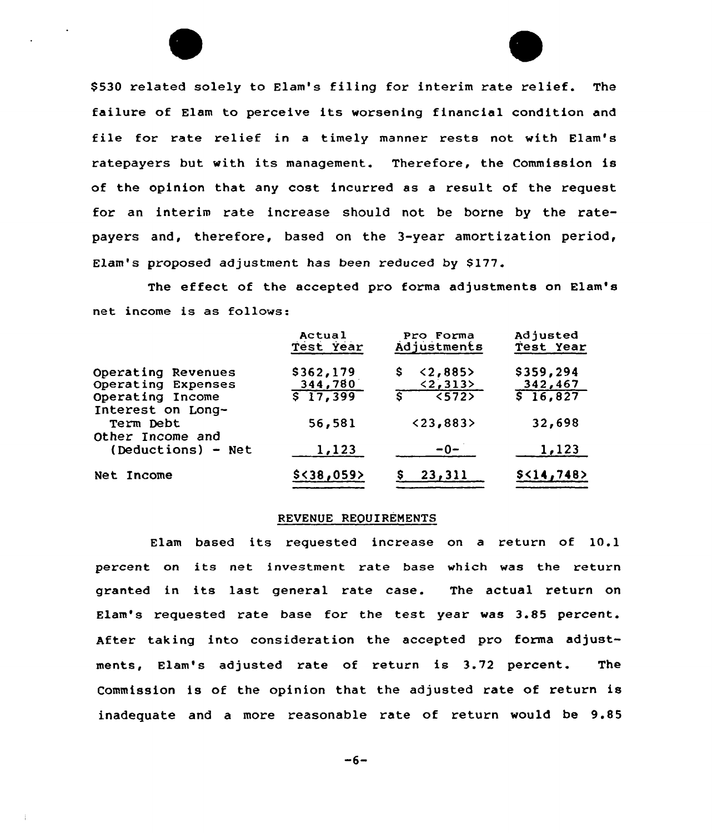\$530 related solely to Elam's filing for interim rate relief. The failure of Elam to perceive its worsening financial condition and file for rate relief in <sup>a</sup> timely manner rests not with Elam's ratepayers but with its management. Therefore, the Commission is of the opinion that any cost incurred as a result of the request for an interim rate increase should not be borne by the ratepayers and, therefore, based on the 3-year amortization period, Elam's proposed adjustment has been reduced by \$177.

The effect of the accepted pro forma adjustments on Elam's net income is as follows:

|                                       | Actual<br>Test Year | Pro Forma<br>Adjustments         | Adjusted<br>Test Year |
|---------------------------------------|---------------------|----------------------------------|-----------------------|
| Operating Revenues                    | \$362,179           | < 2,885<br>S.                    | \$359,294             |
| Operating Expenses                    | 344,780             | $\langle 2, 313 \rangle$         | 342,467               |
| Operating Income<br>Interest on Long- | $\sqrt{517,399}$    | $\overline{\langle 572 \rangle}$ | \$16,827              |
| Term Debt<br>Other Income and         | 56,581              | < 23,883                         | 32,698                |
| $(Deductions) - Net$                  | 1,123               | $-0-$                            | 1,123                 |
| Net Income                            | $$<$ 38,059>        | 23,311                           | \$<14,748             |

## REVENUE REQUIREMENTS

Elam based its requested increase on <sup>a</sup> return of 10.1 percent on its net investment xate base which was the return granted in its last general rate case. The actual return on Elam's requested rate base for the test year was 3.85 percent. After taking into consideration the accepted pro forma adjustments, Elam's adjusted rate of return is 3.72 percent. The Commission is of the opinion that the adjusted rate of return is inadequate and a more reasonable rate of return would be 9.85

 $-6-$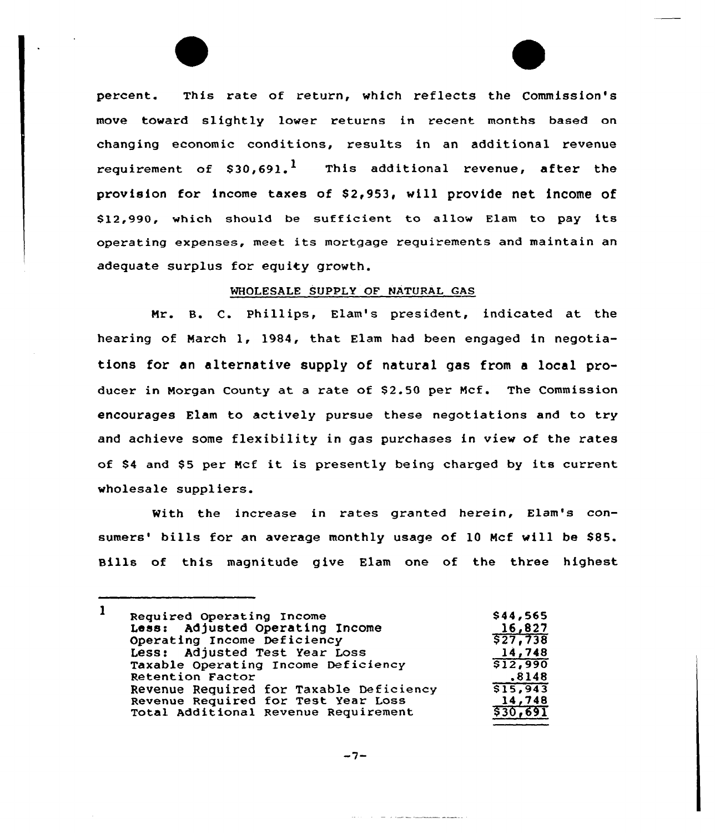percent. This rate of return, which reflects the Commission's move toward slightly lower returns in recent months based on changing economic conditions, results in an additional revenue requirement of  $$30.691$ .<sup>1</sup> This additional revenue, after the provision for income taxes of \$2,953, will provide net income of 812,990, which should be sufficient to allow Elam to pay its operating expenses, meet its mortgage requirements and maintain an adequate surplus for equity growth.

# WHOLESALE SUPPLY OF NATURAL GAS

Nr. B. C. Phillips, Elam's president, indicated at the hearing of March 1, 1984, that Elam had been engaged in negotiations for an alternative supply of natural gas from a local producer in Morgan County at a rate of \$2.50 per Mcf. The Commission encourages Elam to actively pursue these negotiations and to try and achieve some flexibility in gas purchases in view of the rates of \$4 and \$5 per Mcf it is presently being charged by its current wholesale suppliers.

With the increase in rates granted herein, Elam's consumers' bills for an average monthly usage of 10 Mcf will be \$85. Bills of this magnitude give Elam one of the three highest

| $\mathbf{1}$ | Required Operating Income               | \$44,565 |
|--------------|-----------------------------------------|----------|
|              | Less: Adjusted Operating Income         | 16,827   |
|              | Operating Income Deficiency             | \$27,738 |
|              | Less: Adjusted Test Year Loss           | 14,748   |
|              | Taxable Operating Income Deficiency     | \$12,990 |
|              | Retention Factor                        | .8148    |
|              | Revenue Required for Taxable Deficiency | \$15,943 |
|              | Revenue Required for Test Year Loss     | 14,748   |
|              | Total Additional Revenue Requirement    | \$30,691 |

$$
-7-
$$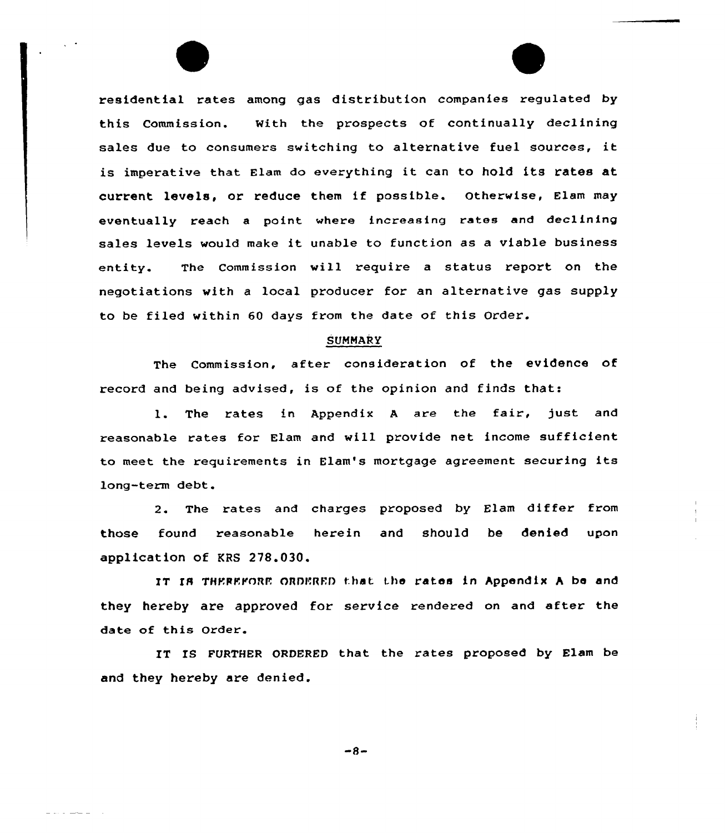residential rates among gas distribution companies regulated by this Commission. With the prospects of continually declining sales due to consumers switching to alternative fuel sources, it is imperative that Elam do everything it can to hold its rates at current levels, or reduce them if possible. Otherwise, Elam may eventually reach a point where increasing rates and declining sales levels would make it unable to function as <sup>a</sup> viable business entity. The Commission will require a status report on the negotiations with a local producer for an alternative gas supply to be filed within 60 days from the date of this Order.

#### **SUMMARY**

The Commission, after consideration of the evidence of record and being advised, is of the opinion and finds that:

1. The rates in Appendix <sup>A</sup> are the fair, just and reasonable rates for Elam and will provide net income sufficient to meet the requirements in Elam's mortgage agreement securing its long-term debt.

2. The rates and charges proposed by Elam differ from those found reasonable herein and should be denied upon application of KRS 278.030.

IT IR THEREFoRE ORDERED that the rates in hppendix <sup>A</sup> be and they hereby are approved for service rendered on and after the date of this order.

IT IS FURTHER ORDERED that the rates proposed by Elam be and they hereby are denied.

 $-8-$ 

 $-$  -  $-$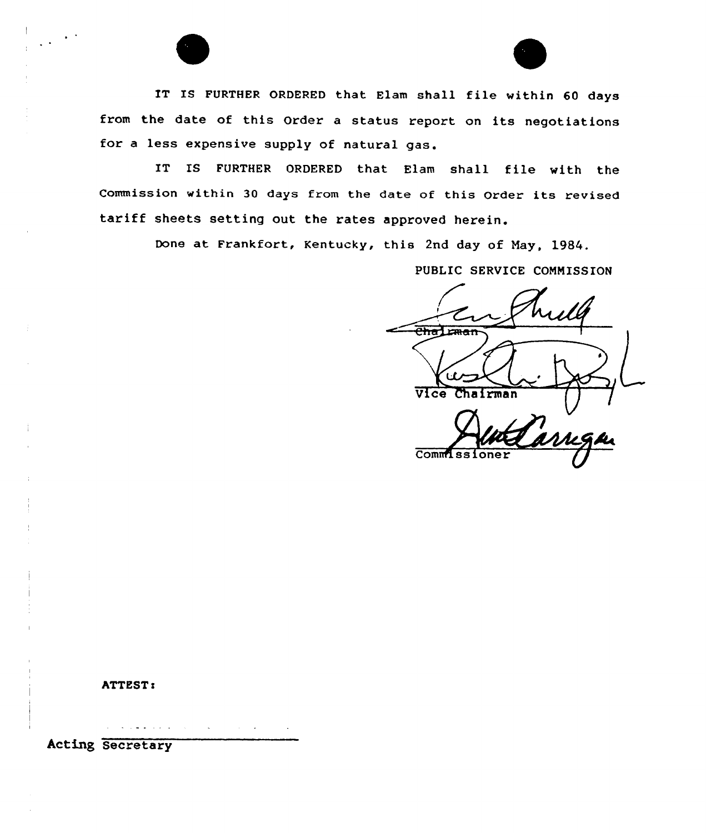

IT IS FURTHER ORDERED that Elam shall file within 60 days from the date of this Order <sup>a</sup> status report on its negotiations for <sup>a</sup> less expensive supply of natural gas.

IT IS FURTHER ORDERED that Elam shall file with the Commission within <sup>30</sup> days from the date of this Order its revised tariff sheets setting out the rates approved herein,

Done at Frankfort, Kentucky, this 2nd day of May, 1984.

PUBLIC SERVICE CONNISSION

man Vice Chairman Commiss:

ATTEST!

 $\mathcal{A}(\mathcal{A})$  , and  $\mathcal{A}(\mathcal{A})$  , and  $\mathcal{A}(\mathcal{A})$  , and  $\mathcal{A}(\mathcal{A})$ 

Acting Secretary